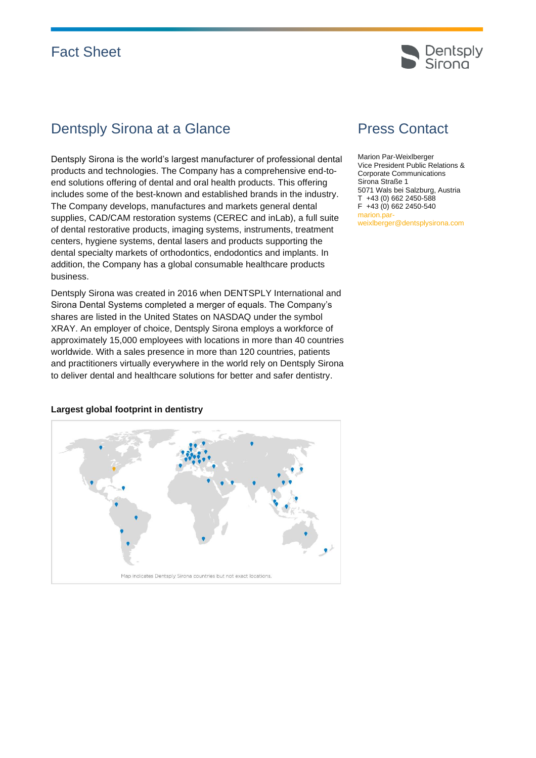# Fact Sheet



## Dentsply Sirona at a Glance

Dentsply Sirona is the world's largest manufacturer of professional dental products and technologies. The Company has a comprehensive end-toend solutions offering of dental and oral health products. This offering includes some of the best-known and established brands in the industry. The Company develops, manufactures and markets general dental supplies, CAD/CAM restoration systems (CEREC and inLab), a full suite of dental restorative products, imaging systems, instruments, treatment centers, hygiene systems, dental lasers and products supporting the dental specialty markets of orthodontics, endodontics and implants. In addition, the Company has a global consumable healthcare products business.

Dentsply Sirona was created in 2016 when DENTSPLY International and Sirona Dental Systems completed a merger of equals. The Company's shares are listed in the United States on NASDAQ under the symbol XRAY. An employer of choice, Dentsply Sirona employs a workforce of approximately 15,000 employees with locations in more than 40 countries worldwide. With a sales presence in more than 120 countries, patients and practitioners virtually everywhere in the world rely on Dentsply Sirona to deliver dental and healthcare solutions for better and safer dentistry.

# Press Contact

Marion Par-Weixlberger Vice President Public Relations & Corporate Communications Sirona Straße 1 5071 Wals bei Salzburg, Austria T +43 (0) 662 2450-588 F +43 (0) 662 2450-540 marion.parweixlberger@dentsplysirona.com



#### **Largest global footprint in dentistry**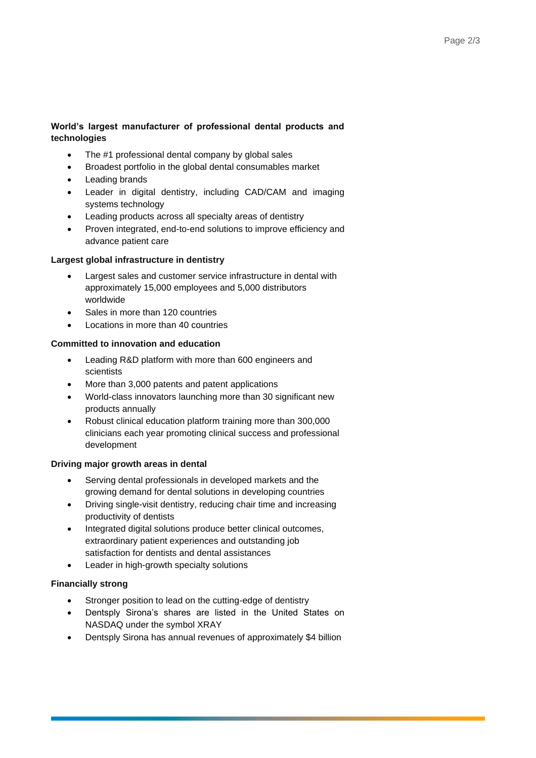### **World's largest manufacturer of professional dental products and technologies**

- The #1 professional dental company by global sales
- Broadest portfolio in the global dental consumables market
- Leading brands
- Leader in digital dentistry, including CAD/CAM and imaging systems technology
- Leading products across all specialty areas of dentistry
- Proven integrated, end-to-end solutions to improve efficiency and advance patient care

### **Largest global infrastructure in dentistry**

- Largest sales and customer service infrastructure in dental with approximately 15,000 employees and 5,000 distributors worldwide
- Sales in more than 120 countries
- Locations in more than 40 countries

### **Committed to innovation and education**

- Leading R&D platform with more than 600 engineers and scientists
- More than 3,000 patents and patent applications
- World-class innovators launching more than 30 significant new products annually
- Robust clinical education platform training more than 300,000 clinicians each year promoting clinical success and professional development

#### **Driving major growth areas in dental**

- Serving dental professionals in developed markets and the growing demand for dental solutions in developing countries
- Driving single-visit dentistry, reducing chair time and increasing productivity of dentists
- Integrated digital solutions produce better clinical outcomes, extraordinary patient experiences and outstanding job satisfaction for dentists and dental assistances
- Leader in high-growth specialty solutions

### **Financially strong**

- Stronger position to lead on the cutting-edge of dentistry
- Dentsply Sirona's shares are listed in the United States on NASDAQ under the symbol XRAY
- Dentsply Sirona has annual revenues of approximately \$4 billion